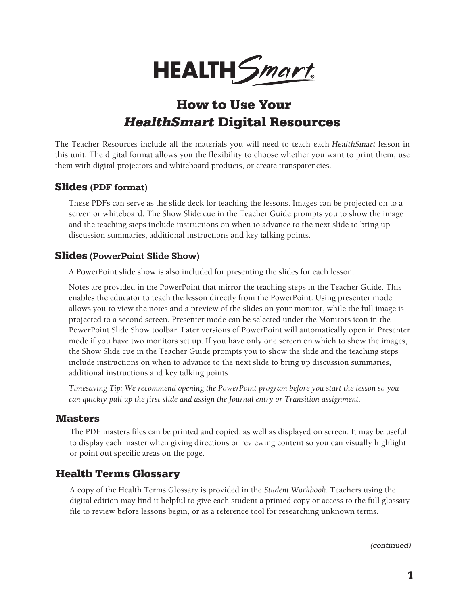

# **How to Use Your HealthSmart Digital Resources**

The Teacher Resources include all the materials you will need to teach each HealthSmart lesson in this unit. The digital format allows you the flexibility to choose whether you want to print them, use them with digital projectors and whiteboard products, or create transparencies.

#### **Slides** (PDF format)

These PDFs can serve as the slide deck for teaching the lessons. Images can be projected on to a screen or whiteboard. The Show Slide cue in the Teacher Guide prompts you to show the image and the teaching steps include instructions on when to advance to the next slide to bring up discussion summaries, additional instructions and key talking points.

#### **Slides** (PowerPoint Slide Show)

A PowerPoint slide show is also included for presenting the slides for each lesson.

Notes are provided in the PowerPoint that mirror the teaching steps in the Teacher Guide. This enables the educator to teach the lesson directly from the PowerPoint. Using presenter mode allows you to view the notes and a preview of the slides on your monitor, while the full image is projected to a second screen. Presenter mode can be selected under the Monitors icon in the PowerPoint Slide Show toolbar. Later versions of PowerPoint will automatically open in Presenter mode if you have two monitors set up. If you have only one screen on which to show the images, the Show Slide cue in the Teacher Guide prompts you to show the slide and the teaching steps include instructions on when to advance to the next slide to bring up discussion summaries, additional instructions and key talking points

*Timesaving Tip: We recommend opening the PowerPoint program before you start the lesson so you can quickly pull up the first slide and assign the Journal entry or Transition assignment.*

#### **Masters**

The PDF masters files can be printed and copied, as well as displayed on screen. It may be useful to display each master when giving directions or reviewing content so you can visually highlight or point out specific areas on the page.

#### **Health Terms Glossary**

A copy of the Health Terms Glossary is provided in the *Student Workbook*. Teachers using the digital edition may find it helpful to give each student a printed copy or access to the full glossary file to review before lessons begin, or as a reference tool for researching unknown terms.

(continued)